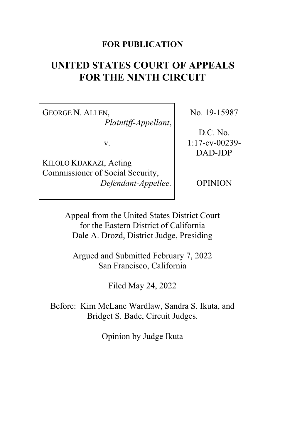### **FOR PUBLICATION**

# **UNITED STATES COURT OF APPEALS FOR THE NINTH CIRCUIT**

GEORGE N. ALLEN, *Plaintiff-Appellant*,

v.

KILOLO KIJAKAZI, Acting Commissioner of Social Security, *Defendant-Appellee.* No. 19-15987

D.C. No. 1:17-cv-00239- DAD-JDP

OPINION

Appeal from the United States District Court for the Eastern District of California Dale A. Drozd, District Judge, Presiding

Argued and Submitted February 7, 2022 San Francisco, California

Filed May 24, 2022

Before: Kim McLane Wardlaw, Sandra S. Ikuta, and Bridget S. Bade, Circuit Judges.

Opinion by Judge Ikuta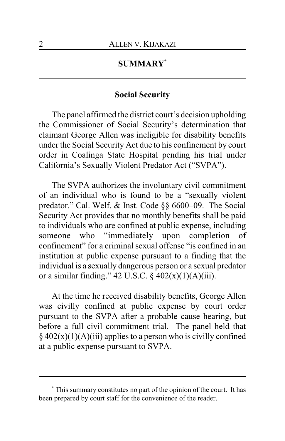# **SUMMARY\***

### **Social Security**

The panel affirmed the district court's decision upholding the Commissioner of Social Security's determination that claimant George Allen was ineligible for disability benefits under the Social Security Act due to his confinement by court order in Coalinga State Hospital pending his trial under California's Sexually Violent Predator Act ("SVPA").

The SVPA authorizes the involuntary civil commitment of an individual who is found to be a "sexually violent predator." Cal. Welf. & Inst. Code §§ 6600–09. The Social Security Act provides that no monthly benefits shall be paid to individuals who are confined at public expense, including someone who "immediately upon completion of confinement" for a criminal sexual offense "is confined in an institution at public expense pursuant to a finding that the individual is a sexually dangerous person or a sexual predator or a similar finding." 42 U.S.C.  $\S$  402(x)(1)(A)(iii).

At the time he received disability benefits, George Allen was civilly confined at public expense by court order pursuant to the SVPA after a probable cause hearing, but before a full civil commitment trial. The panel held that  $§$  402(x)(1)(A)(iii) applies to a person who is civilly confined at a public expense pursuant to SVPA.

**<sup>\*</sup>** This summary constitutes no part of the opinion of the court. It has been prepared by court staff for the convenience of the reader.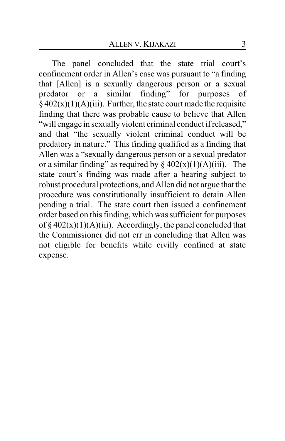The panel concluded that the state trial court's confinement order in Allen's case was pursuant to "a finding that [Allen] is a sexually dangerous person or a sexual predator or a similar finding" for purposes of  $\frac{2}{9}$  402(x)(1)(A)(iii). Further, the state court made the requisite finding that there was probable cause to believe that Allen "will engage in sexually violent criminal conduct if released," and that "the sexually violent criminal conduct will be predatory in nature." This finding qualified as a finding that Allen was a "sexually dangerous person or a sexual predator or a similar finding" as required by  $\S 402(x)(1)(A)(iii)$ . The state court's finding was made after a hearing subject to robust procedural protections, and Allen did not argue that the procedure was constitutionally insufficient to detain Allen pending a trial. The state court then issued a confinement order based on this finding, which was sufficient for purposes of  $\S 402(x)(1)(A)(iii)$ . Accordingly, the panel concluded that the Commissioner did not err in concluding that Allen was not eligible for benefits while civilly confined at state expense.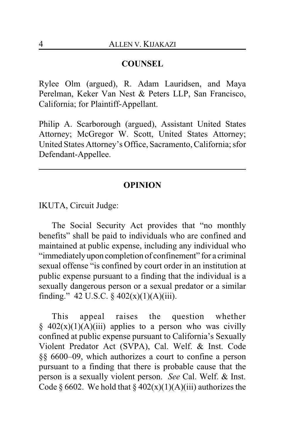## **COUNSEL**

Rylee Olm (argued), R. Adam Lauridsen, and Maya Perelman, Keker Van Nest & Peters LLP, San Francisco, California; for Plaintiff-Appellant.

Philip A. Scarborough (argued), Assistant United States Attorney; McGregor W. Scott, United States Attorney; United States Attorney's Office, Sacramento, California; sfor Defendant-Appellee.

### **OPINION**

IKUTA, Circuit Judge:

The Social Security Act provides that "no monthly benefits" shall be paid to individuals who are confined and maintained at public expense, including any individual who "immediately upon completion of confinement" for a criminal sexual offense "is confined by court order in an institution at public expense pursuant to a finding that the individual is a sexually dangerous person or a sexual predator or a similar finding." 42 U.S.C.  $\S$  402(x)(1)(A)(iii).

This appeal raises the question whether  $§$  402(x)(1)(A)(iii) applies to a person who was civilly confined at public expense pursuant to California's Sexually Violent Predator Act (SVPA), Cal. Welf. & Inst. Code §§ 6600–09, which authorizes a court to confine a person pursuant to a finding that there is probable cause that the person is a sexually violent person. *See* Cal. Welf. & Inst. Code § 6602. We hold that §  $402(x)(1)(A)(iii)$  authorizes the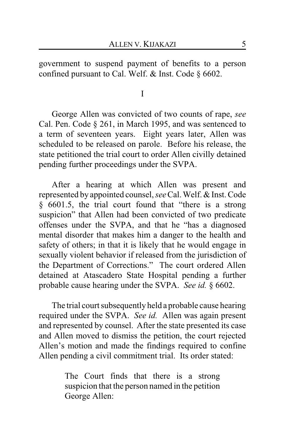government to suspend payment of benefits to a person confined pursuant to Cal. Welf. & Inst. Code § 6602.

I

George Allen was convicted of two counts of rape, *see* Cal. Pen. Code § 261, in March 1995, and was sentenced to a term of seventeen years. Eight years later, Allen was scheduled to be released on parole. Before his release, the state petitioned the trial court to order Allen civilly detained pending further proceedings under the SVPA.

After a hearing at which Allen was present and represented by appointed counsel, *see* Cal.Welf. & Inst. Code § 6601.5, the trial court found that "there is a strong suspicion" that Allen had been convicted of two predicate offenses under the SVPA, and that he "has a diagnosed mental disorder that makes him a danger to the health and safety of others; in that it is likely that he would engage in sexually violent behavior if released from the jurisdiction of the Department of Corrections." The court ordered Allen detained at Atascadero State Hospital pending a further probable cause hearing under the SVPA. *See id.* § 6602.

The trial court subsequently held a probable cause hearing required under the SVPA. *See id.* Allen was again present and represented by counsel. After the state presented its case and Allen moved to dismiss the petition, the court rejected Allen's motion and made the findings required to confine Allen pending a civil commitment trial. Its order stated:

> The Court finds that there is a strong suspicion that the person named in the petition George Allen: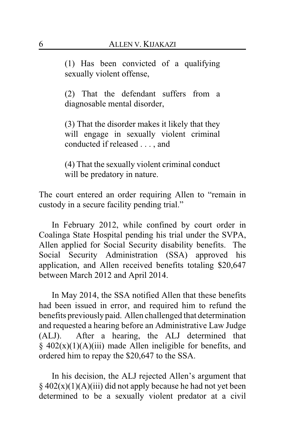(1) Has been convicted of a qualifying sexually violent offense,

(2) That the defendant suffers from a diagnosable mental disorder,

(3) That the disorder makes it likely that they will engage in sexually violent criminal conducted if released . . . , and

(4) That the sexually violent criminal conduct will be predatory in nature.

The court entered an order requiring Allen to "remain in custody in a secure facility pending trial."

In February 2012, while confined by court order in Coalinga State Hospital pending his trial under the SVPA, Allen applied for Social Security disability benefits. The Social Security Administration (SSA) approved his application, and Allen received benefits totaling \$20,647 between March 2012 and April 2014.

In May 2014, the SSA notified Allen that these benefits had been issued in error, and required him to refund the benefits previously paid. Allen challenged that determination and requested a hearing before an Administrative Law Judge (ALJ). After a hearing, the ALJ determined that  $\frac{1}{2}$  402(x)(1)(A)(iii) made Allen ineligible for benefits, and ordered him to repay the \$20,647 to the SSA.

In his decision, the ALJ rejected Allen's argument that  $§$  402(x)(1)(A)(iii) did not apply because he had not yet been determined to be a sexually violent predator at a civil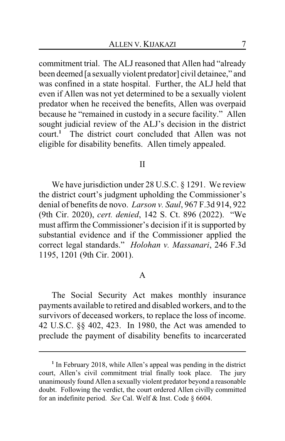commitment trial. The ALJ reasoned that Allen had "already been deemed [a sexually violent predator] civil detainee," and was confined in a state hospital. Further, the ALJ held that even if Allen was not yet determined to be a sexually violent predator when he received the benefits, Allen was overpaid because he "remained in custody in a secure facility." Allen sought judicial review of the ALJ's decision in the district court.**<sup>1</sup>** The district court concluded that Allen was not eligible for disability benefits. Allen timely appealed.

#### II

We have jurisdiction under 28 U.S.C. § 1291. We review the district court's judgment upholding the Commissioner's denial of benefits de novo. *Larson v. Saul*, 967 F.3d 914, 922 (9th Cir. 2020), *cert. denied*, 142 S. Ct. 896 (2022). "We must affirm the Commissioner's decision if it is supported by substantial evidence and if the Commissioner applied the correct legal standards." *Holohan v. Massanari*, 246 F.3d 1195, 1201 (9th Cir. 2001).

### A

The Social Security Act makes monthly insurance payments available to retired and disabled workers, and to the survivors of deceased workers, to replace the loss of income. 42 U.S.C. §§ 402, 423. In 1980, the Act was amended to preclude the payment of disability benefits to incarcerated

<sup>&</sup>lt;sup>1</sup> In February 2018, while Allen's appeal was pending in the district court, Allen's civil commitment trial finally took place. The jury unanimously found Allen a sexually violent predator beyond a reasonable doubt. Following the verdict, the court ordered Allen civilly committed for an indefinite period. *See* Cal. Welf & Inst. Code § 6604.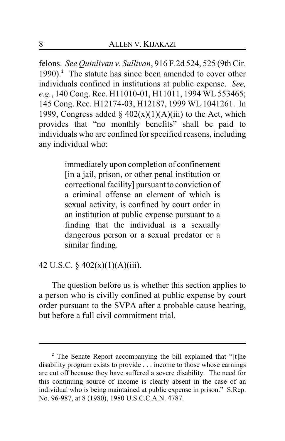felons. *See Quinlivan v. Sullivan*, 916 F.2d 524, 525 (9th Cir. 1990).**<sup>2</sup>** The statute has since been amended to cover other individuals confined in institutions at public expense. *See, e.g.*, 140 Cong. Rec. H11010-01, H11011, 1994 WL 553465; 145 Cong. Rec. H12174-03, H12187, 1999 WL 1041261. In 1999, Congress added  $\S$  402(x)(1)(A)(iii) to the Act, which provides that "no monthly benefits" shall be paid to individuals who are confined for specified reasons, including any individual who:

> immediately upon completion of confinement [in a jail, prison, or other penal institution or correctional facility] pursuant to conviction of a criminal offense an element of which is sexual activity, is confined by court order in an institution at public expense pursuant to a finding that the individual is a sexually dangerous person or a sexual predator or a similar finding.

# 42 U.S.C. § 402(x)(1)(A)(iii).

The question before us is whether this section applies to a person who is civilly confined at public expense by court order pursuant to the SVPA after a probable cause hearing, but before a full civil commitment trial.

**<sup>2</sup>** The Senate Report accompanying the bill explained that "[t]he disability program exists to provide . . . income to those whose earnings are cut off because they have suffered a severe disability. The need for this continuing source of income is clearly absent in the case of an individual who is being maintained at public expense in prison." S.Rep. No. 96-987, at 8 (1980), 1980 U.S.C.C.A.N. 4787.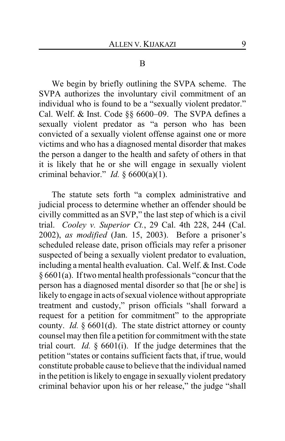#### B

We begin by briefly outlining the SVPA scheme. The SVPA authorizes the involuntary civil commitment of an individual who is found to be a "sexually violent predator." Cal. Welf. & Inst. Code §§ 6600–09. The SVPA defines a sexually violent predator as "a person who has been convicted of a sexually violent offense against one or more victims and who has a diagnosed mental disorder that makes the person a danger to the health and safety of others in that it is likely that he or she will engage in sexually violent criminal behavior." *Id.*  $\frac{6600(a)(1)}{2}$ .

The statute sets forth "a complex administrative and judicial process to determine whether an offender should be civilly committed as an SVP," the last step of which is a civil trial. *Cooley v. Superior Ct.*, 29 Cal. 4th 228, 244 (Cal. 2002), *as modified* (Jan. 15, 2003). Before a prisoner's scheduled release date, prison officials may refer a prisoner suspected of being a sexually violent predator to evaluation, including a mental health evaluation. Cal. Welf. & Inst. Code § 6601(a). If two mental health professionals "concur that the person has a diagnosed mental disorder so that [he or she] is likely to engage in acts of sexual violence without appropriate treatment and custody," prison officials "shall forward a request for a petition for commitment" to the appropriate county. *Id.* § 6601(d). The state district attorney or county counsel may then file a petition for commitment with the state trial court. *Id.* § 6601(i). If the judge determines that the petition "states or contains sufficient facts that, if true, would constitute probable cause to believe that the individual named in the petition is likely to engage in sexually violent predatory criminal behavior upon his or her release," the judge "shall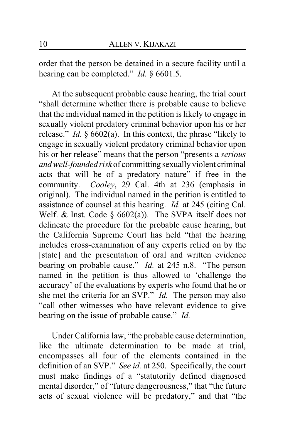order that the person be detained in a secure facility until a hearing can be completed." *Id.* § 6601.5.

At the subsequent probable cause hearing, the trial court "shall determine whether there is probable cause to believe that the individual named in the petition is likely to engage in sexually violent predatory criminal behavior upon his or her release." *Id.* § 6602(a). In this context, the phrase "likely to engage in sexually violent predatory criminal behavior upon his or her release" means that the person "presents a *serious and well-founded risk* of committing sexually violent criminal acts that will be of a predatory nature" if free in the community. *Cooley*, 29 Cal. 4th at 236 (emphasis in original). The individual named in the petition is entitled to assistance of counsel at this hearing. *Id.* at 245 (citing Cal. Welf. & Inst. Code  $\delta$  6602(a)). The SVPA itself does not delineate the procedure for the probable cause hearing, but the California Supreme Court has held "that the hearing includes cross-examination of any experts relied on by the [state] and the presentation of oral and written evidence bearing on probable cause." *Id.* at 245 n.8. "The person named in the petition is thus allowed to 'challenge the accuracy' of the evaluations by experts who found that he or she met the criteria for an SVP." *Id.* The person may also "call other witnesses who have relevant evidence to give bearing on the issue of probable cause." *Id.*

Under California law, "the probable cause determination, like the ultimate determination to be made at trial, encompasses all four of the elements contained in the definition of an SVP." *See id.* at 250. Specifically, the court must make findings of a "statutorily defined diagnosed mental disorder," of "future dangerousness," that "the future acts of sexual violence will be predatory," and that "the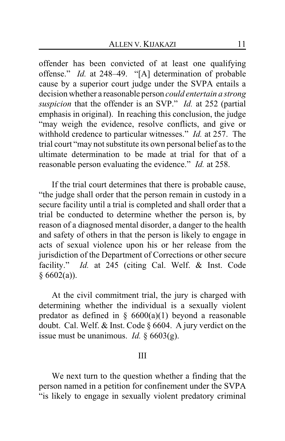offender has been convicted of at least one qualifying offense." *Id.* at 248–49. "[A] determination of probable cause by a superior court judge under the SVPA entails a decision whether a reasonable person *could entertain a strong suspicion* that the offender is an SVP." *Id.* at 252 (partial emphasis in original). In reaching this conclusion, the judge "may weigh the evidence, resolve conflicts, and give or withhold credence to particular witnesses." *Id.* at 257. The trial court "may not substitute its own personal belief as to the ultimate determination to be made at trial for that of a reasonable person evaluating the evidence." *Id.* at 258.

If the trial court determines that there is probable cause, "the judge shall order that the person remain in custody in a secure facility until a trial is completed and shall order that a trial be conducted to determine whether the person is, by reason of a diagnosed mental disorder, a danger to the health and safety of others in that the person is likely to engage in acts of sexual violence upon his or her release from the jurisdiction of the Department of Corrections or other secure facility." *Id.* at 245 (citing Cal. Welf. & Inst. Code  $§ 6602(a)$ .

At the civil commitment trial, the jury is charged with determining whether the individual is a sexually violent predator as defined in  $\S$  6600(a)(1) beyond a reasonable doubt. Cal. Welf. & Inst. Code § 6604. A jury verdict on the issue must be unanimous. *Id.* § 6603(g).

#### III

We next turn to the question whether a finding that the person named in a petition for confinement under the SVPA "is likely to engage in sexually violent predatory criminal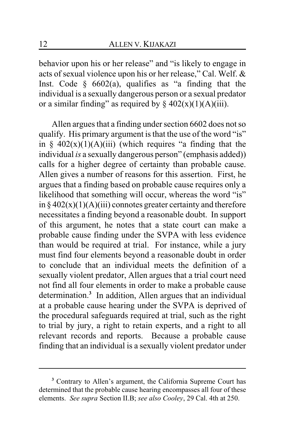behavior upon his or her release" and "is likely to engage in acts of sexual violence upon his or her release," Cal. Welf. & Inst. Code  $§\; 6602(a)$ , qualifies as "a finding that the individual is a sexually dangerous person or a sexual predator or a similar finding" as required by  $\S 402(x)(1)(A)(iii)$ .

Allen argues that a finding under section 6602 does not so qualify. His primary argument is that the use of the word "is" in §  $402(x)(1)(A)(iii)$  (which requires "a finding that the individual *is* a sexually dangerous person" (emphasis added)) calls for a higher degree of certainty than probable cause. Allen gives a number of reasons for this assertion. First, he argues that a finding based on probable cause requires only a likelihood that something will occur, whereas the word "is" in  $\S 402(x)(1)(A)(iii)$  connotes greater certainty and therefore necessitates a finding beyond a reasonable doubt. In support of this argument, he notes that a state court can make a probable cause finding under the SVPA with less evidence than would be required at trial. For instance, while a jury must find four elements beyond a reasonable doubt in order to conclude that an individual meets the definition of a sexually violent predator, Allen argues that a trial court need not find all four elements in order to make a probable cause determination.**<sup>3</sup>** In addition, Allen argues that an individual at a probable cause hearing under the SVPA is deprived of the procedural safeguards required at trial, such as the right to trial by jury, a right to retain experts, and a right to all relevant records and reports. Because a probable cause finding that an individual is a sexually violent predator under

**<sup>3</sup>** Contrary to Allen's argument, the California Supreme Court has determined that the probable cause hearing encompasses all four of these elements. *See supra* Section II.B; *see also Cooley*, 29 Cal. 4th at 250.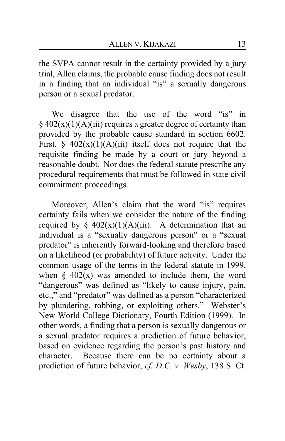the SVPA cannot result in the certainty provided by a jury trial, Allen claims, the probable cause finding does not result in a finding that an individual "is" a sexually dangerous person or a sexual predator.

We disagree that the use of the word "is" in  $§$  402(x)(1)(A)(iii) requires a greater degree of certainty than provided by the probable cause standard in section 6602. First,  $\frac{6}{7}$  402(x)(1)(A)(iii) itself does not require that the requisite finding be made by a court or jury beyond a reasonable doubt. Nor does the federal statute prescribe any procedural requirements that must be followed in state civil commitment proceedings.

Moreover, Allen's claim that the word "is" requires certainty fails when we consider the nature of the finding required by §  $402(x)(1)(A)(iii)$ . A determination that an individual is a "sexually dangerous person" or a "sexual predator" is inherently forward-looking and therefore based on a likelihood (or probability) of future activity. Under the common usage of the terms in the federal statute in 1999, when  $\S$  402(x) was amended to include them, the word "dangerous" was defined as "likely to cause injury, pain, etc.," and "predator" was defined as a person "characterized by plundering, robbing, or exploiting others." Webster's New World College Dictionary, Fourth Edition (1999). In other words, a finding that a person is sexually dangerous or a sexual predator requires a prediction of future behavior, based on evidence regarding the person's past history and character. Because there can be no certainty about a prediction of future behavior, *cf. D.C. v. Wesby*, 138 S. Ct.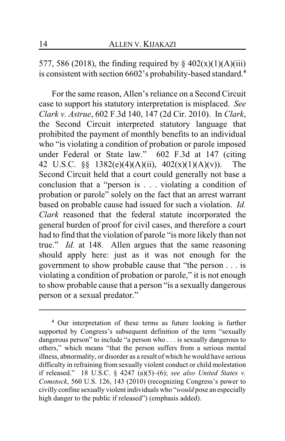577, 586 (2018), the finding required by  $\S 402(x)(1)(A)(iii)$ is consistent with section 6602's probability-based standard.**<sup>4</sup>**

For the same reason, Allen's reliance on a Second Circuit case to support his statutory interpretation is misplaced. *See Clark v. Astrue*, 602 F.3d 140, 147 (2d Cir. 2010). In *Clark*, the Second Circuit interpreted statutory language that prohibited the payment of monthly benefits to an individual who "is violating a condition of probation or parole imposed under Federal or State law." 602 F.3d at 147 (citing 42 U.S.C. §§ 1382(e)(4)(A)(ii), 402(x)(1)(A)(v)). The Second Circuit held that a court could generally not base a conclusion that a "person is . . . violating a condition of probation or parole" solely on the fact that an arrest warrant based on probable cause had issued for such a violation. *Id. Clark* reasoned that the federal statute incorporated the general burden of proof for civil cases, and therefore a court had to find that the violation of parole "is more likely than not true." *Id.* at 148. Allen argues that the same reasoning should apply here: just as it was not enough for the government to show probable cause that "the person . . . is violating a condition of probation or parole," it is not enough to show probable cause that a person "is a sexually dangerous person or a sexual predator."

**<sup>4</sup>** Our interpretation of these terms as future looking is further supported by Congress's subsequent definition of the term "sexually dangerous person" to include "a person who . . . is sexually dangerous to others," which means "that the person suffers from a serious mental illness, abnormality, or disorder as a result of which he would have serious difficulty in refraining from sexually violent conduct or child molestation if released." 18 U.S.C. § 4247 (a)(5)–(6); *see also United States v. Comstock*, 560 U.S. 126, 143 (2010) (recognizing Congress's power to civilly confine sexually violent individuals who "*would* pose an especially high danger to the public if released") (emphasis added).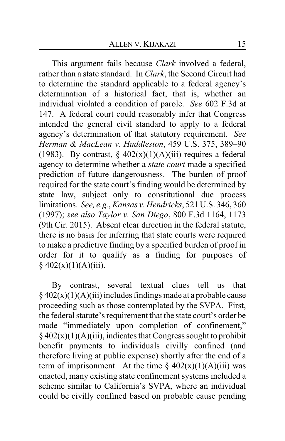This argument fails because *Clark* involved a federal, rather than a state standard. In *Clark*, the Second Circuit had to determine the standard applicable to a federal agency's determination of a historical fact, that is, whether an individual violated a condition of parole. *See* 602 F.3d at 147. A federal court could reasonably infer that Congress intended the general civil standard to apply to a federal agency's determination of that statutory requirement. *See Herman & MacLean v. Huddleston*, 459 U.S. 375, 389–90 (1983). By contrast,  $\S$  402(x)(1)(A)(iii) requires a federal agency to determine whether a *state court* made a specified prediction of future dangerousness. The burden of proof required for the state court's finding would be determined by state law, subject only to constitutional due process limitations. *See, e.g.*,*Kansas v. Hendricks*, 521 U.S. 346, 360 (1997); *see also Taylor v. San Diego*, 800 F.3d 1164, 1173 (9th Cir. 2015). Absent clear direction in the federal statute, there is no basis for inferring that state courts were required to make a predictive finding by a specified burden of proof in order for it to qualify as a finding for purposes of  $§$  402(x)(1)(A)(iii).

By contrast, several textual clues tell us that  $§$  402(x)(1)(A)(iii) includes findings made at a probable cause proceeding such as those contemplated by the SVPA. First, the federal statute's requirement that the state court's order be made "immediately upon completion of confinement,"  $§$  402(x)(1)(A)(iii), indicates that Congress sought to prohibit benefit payments to individuals civilly confined (and therefore living at public expense) shortly after the end of a term of imprisonment. At the time  $\S 402(x)(1)(A)(iii)$  was enacted, many existing state confinement systems included a scheme similar to California's SVPA, where an individual could be civilly confined based on probable cause pending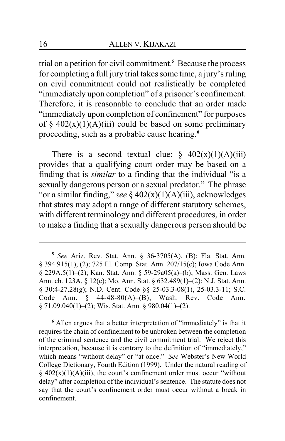trial on a petition for civil commitment.**<sup>5</sup>** Because the process for completing a full jury trial takes some time, a jury's ruling on civil commitment could not realistically be completed "immediately upon completion" of a prisoner's confinement. Therefore, it is reasonable to conclude that an order made "immediately upon completion of confinement" for purposes of §  $402(x)(1)(A)(iii)$  could be based on some preliminary proceeding, such as a probable cause hearing.**<sup>6</sup>**

There is a second textual clue:  $\frac{6}{9}$  402(x)(1)(A)(iii) provides that a qualifying court order may be based on a finding that is *similar* to a finding that the individual "is a sexually dangerous person or a sexual predator." The phrase "or a similar finding," *see* § 402(x)(1)(A)(iii), acknowledges that states may adopt a range of different statutory schemes, with different terminology and different procedures, in order to make a finding that a sexually dangerous person should be

**<sup>6</sup>** Allen argues that a better interpretation of "immediately" is that it requires the chain of confinement to be unbroken between the completion of the criminal sentence and the civil commitment trial. We reject this interpretation, because it is contrary to the definition of "immediately," which means "without delay" or "at once." *See* Webster's New World College Dictionary, Fourth Edition (1999). Under the natural reading of  $§$  402(x)(1)(A)(iii), the court's confinement order must occur "without delay" after completion of the individual's sentence. The statute does not say that the court's confinement order must occur without a break in confinement.

**<sup>5</sup>** *See* Ariz. Rev. Stat. Ann. § 36-3705(A), (B); Fla. Stat. Ann. § 394.915(1), (2); 725 Ill. Comp. Stat. Ann. 207/15(c); Iowa Code Ann. § 229A.5(1)–(2); Kan. Stat. Ann. § 59-29a05(a)–(b); Mass. Gen. Laws Ann. ch. 123A, § 12(c); Mo. Ann. Stat. § 632.489(1)–(2); N.J. Stat. Ann. § 30:4-27.28(g); N.D. Cent. Code §§ 25-03.3-08(1), 25-03.3-11; S.C. Code Ann. § 44-48-80(A)–(B); Wash. Rev. Code Ann. § 71.09.040(1)–(2); Wis. Stat. Ann. § 980.04(1)–(2).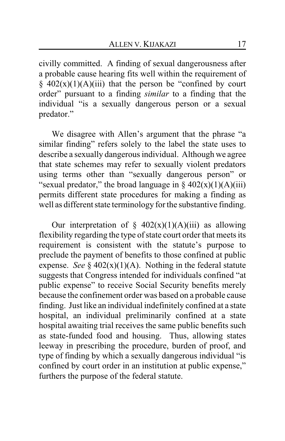civilly committed. A finding of sexual dangerousness after a probable cause hearing fits well within the requirement of  $\frac{1}{2}$  402(x)(1)(A)(iii) that the person be "confined by court order" pursuant to a finding *similar* to a finding that the individual "is a sexually dangerous person or a sexual predator."

We disagree with Allen's argument that the phrase "a similar finding" refers solely to the label the state uses to describe a sexually dangerous individual. Although we agree that state schemes may refer to sexually violent predators using terms other than "sexually dangerous person" or "sexual predator," the broad language in  $\S 402(x)(1)(A)(iii)$ permits different state procedures for making a finding as well as different state terminology for the substantive finding.

Our interpretation of  $\S$  402(x)(1)(A)(iii) as allowing flexibility regarding the type of state court order that meets its requirement is consistent with the statute's purpose to preclude the payment of benefits to those confined at public expense. *See*  $\S$  402(x)(1)(A). Nothing in the federal statute suggests that Congress intended for individuals confined "at public expense" to receive Social Security benefits merely because the confinement order was based on a probable cause finding. Just like an individual indefinitely confined at a state hospital, an individual preliminarily confined at a state hospital awaiting trial receives the same public benefits such as state-funded food and housing. Thus, allowing states leeway in prescribing the procedure, burden of proof, and type of finding by which a sexually dangerous individual "is confined by court order in an institution at public expense," furthers the purpose of the federal statute.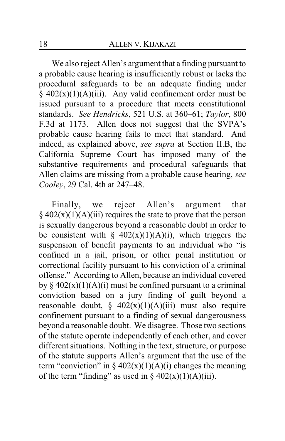We also reject Allen's argument that a finding pursuant to a probable cause hearing is insufficiently robust or lacks the procedural safeguards to be an adequate finding under  $§$  402(x)(1)(A)(iii). Any valid confinement order must be issued pursuant to a procedure that meets constitutional standards. *See Hendricks*, 521 U.S. at 360–61; *Taylor*, 800 F.3d at 1173. Allen does not suggest that the SVPA's probable cause hearing fails to meet that standard. And indeed, as explained above, *see supra* at Section II.B, the California Supreme Court has imposed many of the substantive requirements and procedural safeguards that Allen claims are missing from a probable cause hearing, *see Cooley*, 29 Cal. 4th at 247–48.

Finally, we reject Allen's argument that  $§$  402(x)(1)(A)(iii) requires the state to prove that the person is sexually dangerous beyond a reasonable doubt in order to be consistent with §  $402(x)(1)(A)(i)$ , which triggers the suspension of benefit payments to an individual who "is confined in a jail, prison, or other penal institution or correctional facility pursuant to his conviction of a criminal offense." According to Allen, because an individual covered by  $\S 402(x)(1)(A)(i)$  must be confined pursuant to a criminal conviction based on a jury finding of guilt beyond a reasonable doubt,  $\frac{6}{5}$  402(x)(1)(A)(iii) must also require confinement pursuant to a finding of sexual dangerousness beyond a reasonable doubt. We disagree. Those two sections of the statute operate independently of each other, and cover different situations. Nothing in the text, structure, or purpose of the statute supports Allen's argument that the use of the term "conviction" in  $\S 402(x)(1)(A)(i)$  changes the meaning of the term "finding" as used in  $\S 402(x)(1)(A)(iii)$ .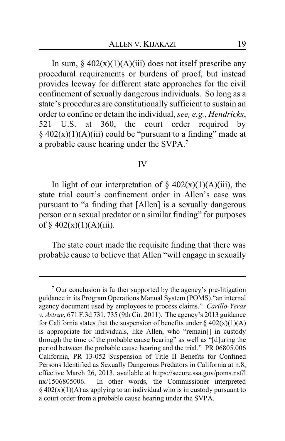In sum,  $\S 402(x)(1)(A)(iii)$  does not itself prescribe any procedural requirements or burdens of proof, but instead provides leeway for different state approaches for the civil confinement of sexually dangerous individuals. So long as a state's procedures are constitutionally sufficient to sustain an order to confine or detain the individual, *see, e.g.*, *Hendricks*, 521 U.S. at 360, the court order required by  $§$  402(x)(1)(A)(iii) could be "pursuant to a finding" made at a probable cause hearing under the SVPA.**<sup>7</sup>**

#### IV

In light of our interpretation of  $\S$  402(x)(1)(A)(iii), the state trial court's confinement order in Allen's case was pursuant to "a finding that [Allen] is a sexually dangerous person or a sexual predator or a similar finding" for purposes of  $§$  402(x)(1)(A)(iii).

The state court made the requisite finding that there was probable cause to believe that Allen "will engage in sexually

**<sup>7</sup>** Our conclusion is further supported by the agency's pre-litigation guidance in its Program Operations Manual System (POMS),"an internal agency document used by employees to process claims." *Carillo-Yeras v. Astrue*, 671 F.3d 731, 735 (9th Cir. 2011). The agency's 2013 guidance for California states that the suspension of benefits under  $\S 402(x)(1)(A)$ is appropriate for individuals, like Allen, who "remain[] in custody through the time of the probable cause hearing" as well as "[d]uring the period between the probable cause hearing and the trial." PR 06805.006 California, PR 13-052 Suspension of Title II Benefits for Confined Persons Identified as Sexually Dangerous Predators in California at n.8, effective March 26, 2013, available at https://secure.ssa.gov/poms.nsf/l nx/1506805006. In other words, the Commissioner interpreted  $\S$  402(x)(1)(A) as applying to an individual who is in custody pursuant to a court order from a probable cause hearing under the SVPA.